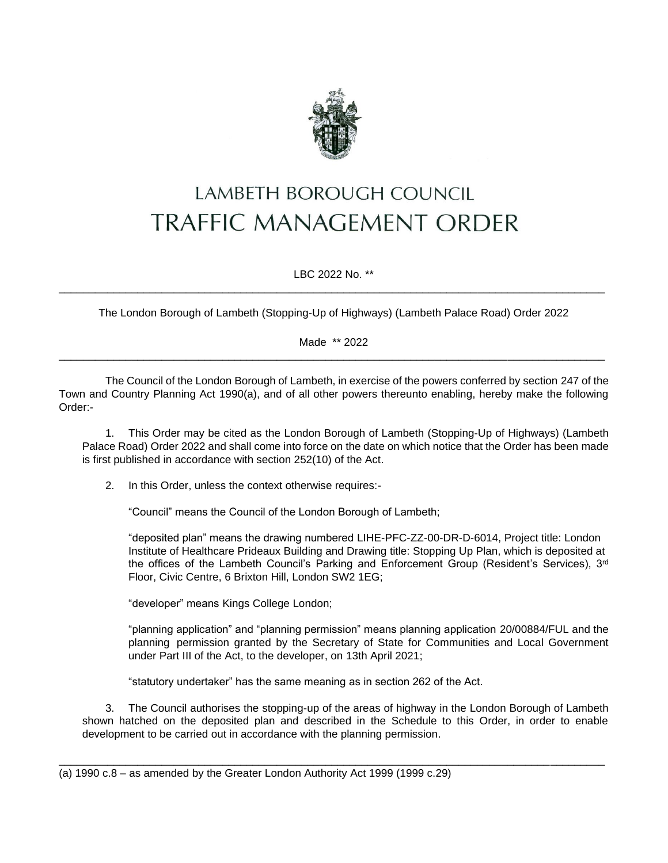

## LAMBETH BOROUGH COUNCIL **TRAFFIC MANAGEMENT ORDER**

LBC 2022 No. \*\* \_\_\_\_\_\_\_\_\_\_\_\_\_\_\_\_\_\_\_\_\_\_\_\_\_\_\_\_\_\_\_\_\_\_\_\_\_\_\_\_\_\_\_\_\_\_\_\_\_\_\_\_\_\_\_\_\_\_\_\_\_\_\_\_\_\_\_\_\_\_\_\_\_\_\_\_\_\_\_\_\_\_\_\_\_\_\_\_\_\_

The London Borough of Lambeth (Stopping-Up of Highways) (Lambeth Palace Road) Order 2022

Made \*\* 2022 \_\_\_\_\_\_\_\_\_\_\_\_\_\_\_\_\_\_\_\_\_\_\_\_\_\_\_\_\_\_\_\_\_\_\_\_\_\_\_\_\_\_\_\_\_\_\_\_\_\_\_\_\_\_\_\_\_\_\_\_\_\_\_\_\_\_\_\_\_\_\_\_\_\_\_\_\_\_\_\_\_\_\_\_\_\_\_\_\_\_

The Council of the London Borough of Lambeth, in exercise of the powers conferred by section 247 of the Town and Country Planning Act 1990(a), and of all other powers thereunto enabling, hereby make the following Order:-

1. This Order may be cited as the London Borough of Lambeth (Stopping-Up of Highways) (Lambeth Palace Road) Order 2022 and shall come into force on the date on which notice that the Order has been made is first published in accordance with section 252(10) of the Act.

2. In this Order, unless the context otherwise requires:-

"Council" means the Council of the London Borough of Lambeth;

"deposited plan" means the drawing numbered LIHE-PFC-ZZ-00-DR-D-6014, Project title: London Institute of Healthcare Prideaux Building and Drawing title: Stopping Up Plan, which is deposited at the offices of the Lambeth Council's Parking and Enforcement Group (Resident's Services), 3<sup>rd</sup> Floor, Civic Centre, 6 Brixton Hill, London SW2 1EG;

"developer" means Kings College London;

"planning application" and "planning permission" means planning application 20/00884/FUL and the planning permission granted by the Secretary of State for Communities and Local Government under Part III of the Act, to the developer, on 13th April 2021;

"statutory undertaker" has the same meaning as in section 262 of the Act.

3. The Council authorises the stopping-up of the areas of highway in the London Borough of Lambeth shown hatched on the deposited plan and described in the Schedule to this Order, in order to enable development to be carried out in accordance with the planning permission.

\_\_\_\_\_\_\_\_\_\_\_\_\_\_\_\_\_\_\_\_\_\_\_\_\_\_\_\_\_\_\_\_\_\_\_\_\_\_\_\_\_\_\_\_\_\_\_\_\_\_\_\_\_\_\_\_\_\_\_\_\_\_\_\_\_\_\_\_\_\_\_\_\_\_\_\_\_\_\_\_\_\_\_\_\_\_\_\_\_\_